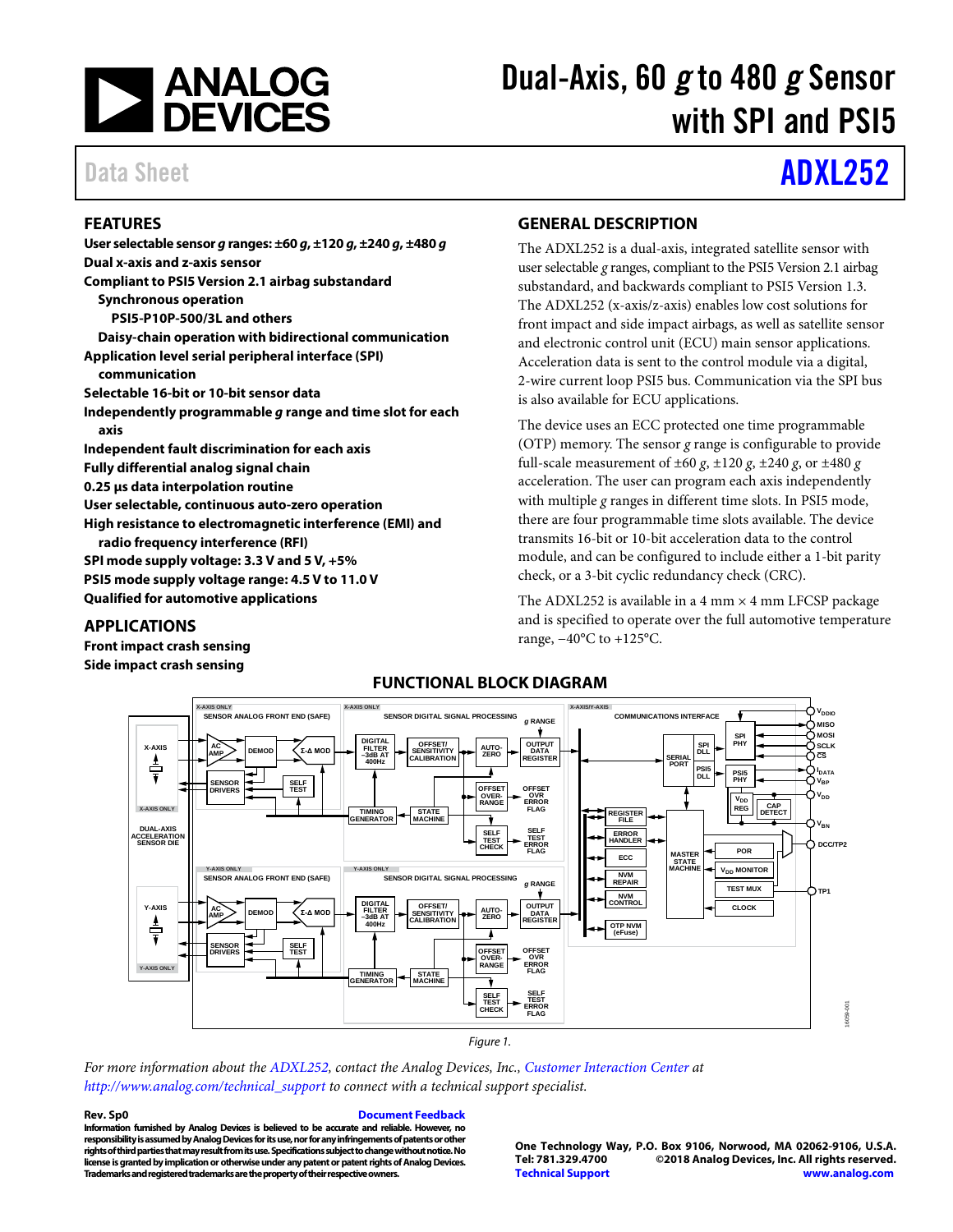

# Dual-Axis, 60 *g* to 480 *g* Sensor with SPI and PSI5

## Data Sheet **[ADXL252](http://www.analog.com/ADXL252?doc=ADXL252.pdf)**

### **FEATURES**

**User selectable sensor** *g* **ranges: ±60** *g***, ±120** *g***, ±240** *g***, ±480** *g* **Dual x-axis and z-axis sensor Compliant to PSI5 Version 2.1 airbag substandard Synchronous operation PSI5-P10P-500/3L and others Daisy-chain operation with bidirectional communication Application level serial peripheral interface (SPI) communication Selectable 16-bit or 10-bit sensor data Independently programmable** *g* **range and time slot for each axis Independent fault discrimination for each axis Fully differential analog signal chain 0.25 µs data interpolation routine User selectable, continuous auto-zero operation High resistance to electromagnetic interference (EMI) and radio frequency interference (RFI) SPI mode supply voltage: 3.3 V and 5 V, +5% PSI5 mode supply voltage range: 4.5 V to 11.0 V Qualified for automotive applications APPLICATIONS**

### **GENERAL DESCRIPTION**

The ADXL252 is a dual-axis, integrated satellite sensor with user selectable *g* ranges, compliant to the PSI5 Version 2.1 airbag substandard, and backwards compliant to PSI5 Version 1.3. The ADXL252 (x-axis/z-axis) enables low cost solutions for front impact and side impact airbags, as well as satellite sensor and electronic control unit (ECU) main sensor applications. Acceleration data is sent to the control module via a digital, 2-wire current loop PSI5 bus. Communication via the SPI bus is also available for ECU applications.

The device uses an ECC protected one time programmable (OTP) memory. The sensor *g* range is configurable to provide full-scale measurement of  $\pm 60$  g,  $\pm 120$  g,  $\pm 240$  g, or  $\pm 480$  g acceleration. The user can program each axis independently with multiple *g* ranges in different time slots. In PSI5 mode, there are four programmable time slots available. The device transmits 16-bit or 10-bit acceleration data to the control module, and can be configured to include either a 1-bit parity check, or a 3-bit cyclic redundancy check (CRC).

The ADXL252 is available in a 4 mm  $\times$  4 mm LFCSP package and is specified to operate over the full automotive temperature range, −40°C to +125°C.

**POR**

**SPI PHY**

**PSI5 PHY** V<sub>DD</sub><br>REG **MISO MOSI SCLK CS**

> **I DATA**  $V_{\mathbf{R}\mathbf{P}}$

**TP1**

16059-001

6059-001

**DCC/TP2 VBN**  $\mathsf{v}_\mathsf{DD}$ 

 $\bm{{\mathsf{v}}}_{\texttt{DDIO}}$ 

**MONITOR** 

**CAP DETECT**

**TEST MUX CLOCK**

**OTP NVM (eFuse)**



### *Figure 1.*

**SELF TEST CHECK**

**OFFSE OVER-RANGE**

٦

**OFFSET OVR ERROR FLAG**

**SELF TEST ERROR FLAG**

*For more information about th[e ADXL252,](http://www.analog.com/ADXL252?doc=ADXL252.pdf) contact the Analog Devices, Inc., [Customer Interaction Center](http://www.analog.com/technical_support) at [http://www.analog.com/technical\\_support](http://www.analog.com/technical_support) to connect with a technical support specialist.*

**TIMING GENERATOR**

**Rev. Sp0 [Document Feedback](https://form.analog.com/Form_Pages/feedback/documentfeedback.aspx?doc=ADXL252.pdf&product=ADXL252&rev=Sp0)**

**STATE MACHINE**

**Information furnished by Analog Devices is believed to be accurate and reliable. However, no responsibility is assumed by Analog Devices for its use, nor for any infringements of patents or other rights of third parties that may result from its use. Specifications subject to change without notice. No license is granted by implication or otherwise under any patent or patent rights of Analog Devices. Trademarks and registered trademarks are the property of their respective owners.**

**SELF TEST**

**SENSOR DRIVERS**

**Y-AXIS ONLY**

**One Technology Way, P.O. Box 9106, Norwood, MA 02062-9106, U.S.A. Tel: 781.329.4700 ©2018 Analog Devices, Inc. All rights reserved. [Technical Support](http://www.analog.com/en/content/technical_support_page/fca.html) [www.analog.com](http://www.analog.com/)**